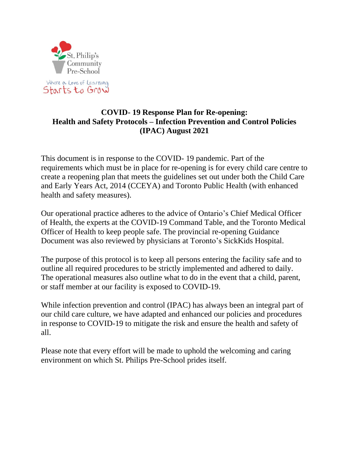

# **COVID- 19 Response Plan for Re-opening: Health and Safety Protocols – Infection Prevention and Control Policies (IPAC) August 2021**

This document is in response to the COVID- 19 pandemic. Part of the requirements which must be in place for re-opening is for every child care centre to create a reopening plan that meets the guidelines set out under both the Child Care and Early Years Act, 2014 (CCEYA) and Toronto Public Health (with enhanced health and safety measures).

Our operational practice adheres to the advice of Ontario's Chief Medical Officer of Health, the experts at the COVID-19 Command Table, and the Toronto Medical Officer of Health to keep people safe. The provincial re-opening Guidance Document was also reviewed by physicians at Toronto's SickKids Hospital.

The purpose of this protocol is to keep all persons entering the facility safe and to outline all required procedures to be strictly implemented and adhered to daily. The operational measures also outline what to do in the event that a child, parent, or staff member at our facility is exposed to COVID-19.

While infection prevention and control (IPAC) has always been an integral part of our child care culture, we have adapted and enhanced our policies and procedures in response to COVID-19 to mitigate the risk and ensure the health and safety of all.

Please note that every effort will be made to uphold the welcoming and caring environment on which St. Philips Pre-School prides itself.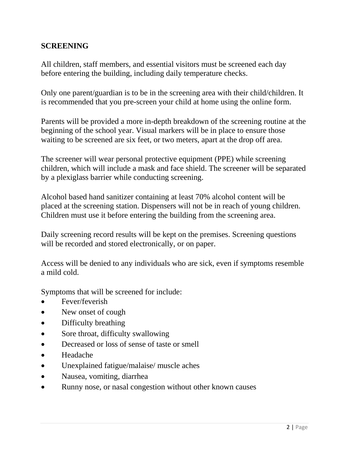### **SCREENING**

All children, staff members, and essential visitors must be screened each day before entering the building, including daily temperature checks.

Only one parent/guardian is to be in the screening area with their child/children. It is recommended that you pre-screen your child at home using the online form.

Parents will be provided a more in-depth breakdown of the screening routine at the beginning of the school year. Visual markers will be in place to ensure those waiting to be screened are six feet, or two meters, apart at the drop off area.

The screener will wear personal protective equipment (PPE) while screening children, which will include a mask and face shield. The screener will be separated by a plexiglass barrier while conducting screening.

Alcohol based hand sanitizer containing at least 70% alcohol content will be placed at the screening station. Dispensers will not be in reach of young children. Children must use it before entering the building from the screening area.

Daily screening record results will be kept on the premises. Screening questions will be recorded and stored electronically, or on paper.

Access will be denied to any individuals who are sick, even if symptoms resemble a mild cold.

Symptoms that will be screened for include:

- Fever/feverish
- New onset of cough
- Difficulty breathing
- Sore throat, difficulty swallowing
- Decreased or loss of sense of taste or smell
- Headache
- Unexplained fatigue/malaise/ muscle aches
- Nausea, vomiting, diarrhea
- Runny nose, or nasal congestion without other known causes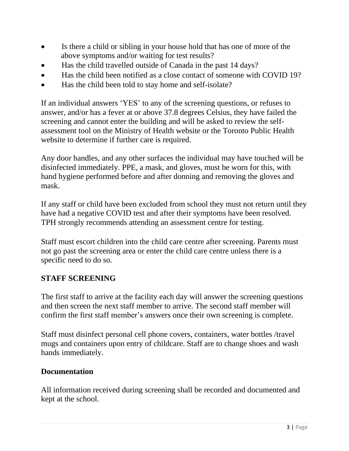- Is there a child or sibling in your house hold that has one of more of the above symptoms and/or waiting for test results?
- Has the child travelled outside of Canada in the past 14 days?
- Has the child been notified as a close contact of someone with COVID 19?
- Has the child been told to stay home and self-isolate?

If an individual answers 'YES' to any of the screening questions, or refuses to answer, and/or has a fever at or above 37.8 degrees Celsius, they have failed the screening and cannot enter the building and will be asked to review the selfassessment tool on the Ministry of Health website or the Toronto Public Health website to determine if further care is required.

Any door handles, and any other surfaces the individual may have touched will be disinfected immediately. PPE, a mask, and gloves, must be worn for this, with hand hygiene performed before and after donning and removing the gloves and mask.

If any staff or child have been excluded from school they must not return until they have had a negative COVID test and after their symptoms have been resolved. TPH strongly recommends attending an assessment centre for testing.

Staff must escort children into the child care centre after screening. Parents must not go past the screening area or enter the child care centre unless there is a specific need to do so.

### **STAFF SCREENING**

The first staff to arrive at the facility each day will answer the screening questions and then screen the next staff member to arrive. The second staff member will confirm the first staff member's answers once their own screening is complete.

Staff must disinfect personal cell phone covers, containers, water bottles /travel mugs and containers upon entry of childcare. Staff are to change shoes and wash hands immediately.

### **Documentation**

All information received during screening shall be recorded and documented and kept at the school.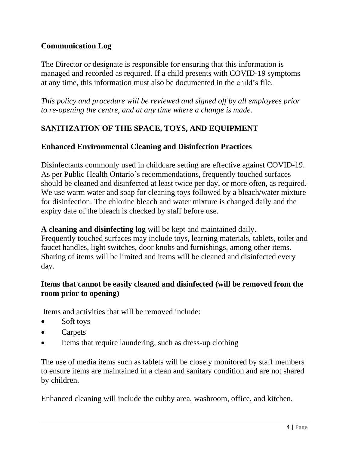# **Communication Log**

The Director or designate is responsible for ensuring that this information is managed and recorded as required. If a child presents with COVID-19 symptoms at any time, this information must also be documented in the child's file.

*This policy and procedure will be reviewed and signed off by all employees prior to re-opening the centre, and at any time where a change is made.*

# **SANITIZATION OF THE SPACE, TOYS, AND EQUIPMENT**

### **Enhanced Environmental Cleaning and Disinfection Practices**

Disinfectants commonly used in childcare setting are effective against COVID-19. As per Public Health Ontario's recommendations, frequently touched surfaces should be cleaned and disinfected at least twice per day, or more often, as required. We use warm water and soap for cleaning toys followed by a bleach/water mixture for disinfection. The chlorine bleach and water mixture is changed daily and the expiry date of the bleach is checked by staff before use.

#### **A cleaning and disinfecting log** will be kept and maintained daily.

Frequently touched surfaces may include toys, learning materials, tablets, toilet and faucet handles, light switches, door knobs and furnishings, among other items. Sharing of items will be limited and items will be cleaned and disinfected every day.

### **Items that cannot be easily cleaned and disinfected (will be removed from the room prior to opening)**

Items and activities that will be removed include:

- Soft toys
- Carpets
- Items that require laundering, such as dress-up clothing

The use of media items such as tablets will be closely monitored by staff members to ensure items are maintained in a clean and sanitary condition and are not shared by children.

Enhanced cleaning will include the cubby area, washroom, office, and kitchen.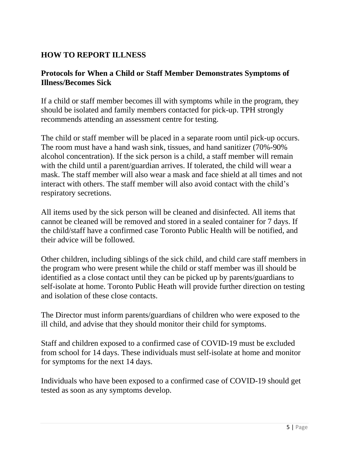# **HOW TO REPORT ILLNESS**

### **Protocols for When a Child or Staff Member Demonstrates Symptoms of Illness/Becomes Sick**

If a child or staff member becomes ill with symptoms while in the program, they should be isolated and family members contacted for pick-up. TPH strongly recommends attending an assessment centre for testing.

The child or staff member will be placed in a separate room until pick-up occurs. The room must have a hand wash sink, tissues, and hand sanitizer (70%-90% alcohol concentration). If the sick person is a child, a staff member will remain with the child until a parent/guardian arrives. If tolerated, the child will wear a mask. The staff member will also wear a mask and face shield at all times and not interact with others. The staff member will also avoid contact with the child's respiratory secretions.

All items used by the sick person will be cleaned and disinfected. All items that cannot be cleaned will be removed and stored in a sealed container for 7 days. If the child/staff have a confirmed case Toronto Public Health will be notified, and their advice will be followed.

Other children, including siblings of the sick child, and child care staff members in the program who were present while the child or staff member was ill should be identified as a close contact until they can be picked up by parents/guardians to self-isolate at home. Toronto Public Heath will provide further direction on testing and isolation of these close contacts.

The Director must inform parents/guardians of children who were exposed to the ill child, and advise that they should monitor their child for symptoms.

Staff and children exposed to a confirmed case of COVID-19 must be excluded from school for 14 days. These individuals must self-isolate at home and monitor for symptoms for the next 14 days.

Individuals who have been exposed to a confirmed case of COVID-19 should get tested as soon as any symptoms develop.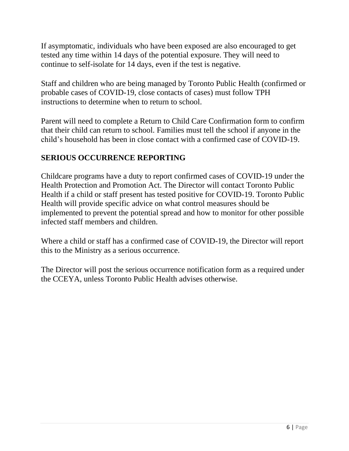If asymptomatic, individuals who have been exposed are also encouraged to get tested any time within 14 days of the potential exposure. They will need to continue to self-isolate for 14 days, even if the test is negative.

Staff and children who are being managed by Toronto Public Health (confirmed or probable cases of COVID-19, close contacts of cases) must follow TPH instructions to determine when to return to school.

Parent will need to complete a Return to Child Care Confirmation form to confirm that their child can return to school. Families must tell the school if anyone in the child's household has been in close contact with a confirmed case of COVID-19.

# **SERIOUS OCCURRENCE REPORTING**

Childcare programs have a duty to report confirmed cases of COVID-19 under the Health Protection and Promotion Act. The Director will contact Toronto Public Health if a child or staff present has tested positive for COVID-19. Toronto Public Health will provide specific advice on what control measures should be implemented to prevent the potential spread and how to monitor for other possible infected staff members and children.

Where a child or staff has a confirmed case of COVID-19, the Director will report this to the Ministry as a serious occurrence.

The Director will post the serious occurrence notification form as a required under the CCEYA, unless Toronto Public Health advises otherwise.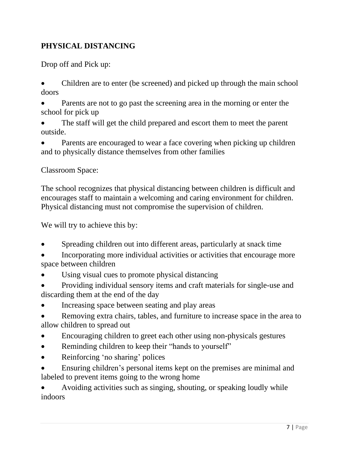# **PHYSICAL DISTANCING**

Drop off and Pick up:

- Children are to enter (be screened) and picked up through the main school doors
- Parents are not to go past the screening area in the morning or enter the school for pick up
- The staff will get the child prepared and escort them to meet the parent outside.
- Parents are encouraged to wear a face covering when picking up children and to physically distance themselves from other families

# Classroom Space:

The school recognizes that physical distancing between children is difficult and encourages staff to maintain a welcoming and caring environment for children. Physical distancing must not compromise the supervision of children.

We will try to achieve this by:

- Spreading children out into different areas, particularly at snack time
- Incorporating more individual activities or activities that encourage more space between children
- Using visual cues to promote physical distancing
- Providing individual sensory items and craft materials for single-use and discarding them at the end of the day
- Increasing space between seating and play areas
- Removing extra chairs, tables, and furniture to increase space in the area to allow children to spread out
- Encouraging children to greet each other using non-physicals gestures
- Reminding children to keep their "hands to yourself"
- Reinforcing 'no sharing' polices

• Ensuring children's personal items kept on the premises are minimal and labeled to prevent items going to the wrong home

• Avoiding activities such as singing, shouting, or speaking loudly while indoors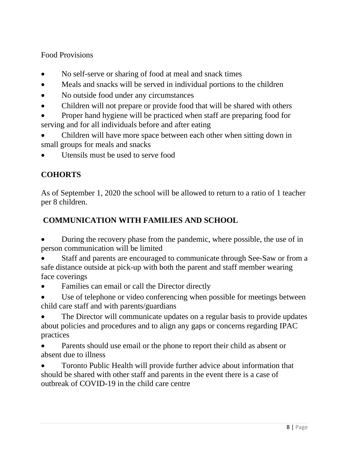Food Provisions

- No self-serve or sharing of food at meal and snack times
- Meals and snacks will be served in individual portions to the children
- No outside food under any circumstances
- Children will not prepare or provide food that will be shared with others
- Proper hand hygiene will be practiced when staff are preparing food for serving and for all individuals before and after eating
- Children will have more space between each other when sitting down in small groups for meals and snacks
- Utensils must be used to serve food

# **COHORTS**

As of September 1, 2020 the school will be allowed to return to a ratio of 1 teacher per 8 children.

# **COMMUNICATION WITH FAMILIES AND SCHOOL**

- During the recovery phase from the pandemic, where possible, the use of in person communication will be limited
- Staff and parents are encouraged to communicate through See-Saw or from a safe distance outside at pick-up with both the parent and staff member wearing face coverings
- Families can email or call the Director directly
- Use of telephone or video conferencing when possible for meetings between child care staff and with parents/guardians
- The Director will communicate updates on a regular basis to provide updates about policies and procedures and to align any gaps or concerns regarding IPAC practices
- Parents should use email or the phone to report their child as absent or absent due to illness
- Toronto Public Health will provide further advice about information that should be shared with other staff and parents in the event there is a case of outbreak of COVID-19 in the child care centre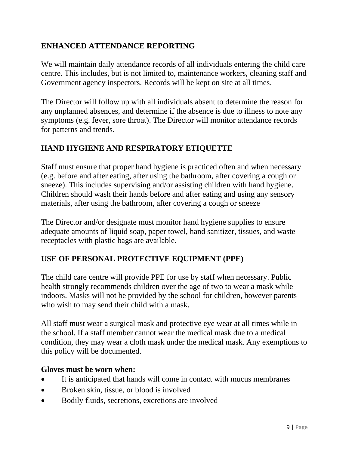# **ENHANCED ATTENDANCE REPORTING**

We will maintain daily attendance records of all individuals entering the child care centre. This includes, but is not limited to, maintenance workers, cleaning staff and Government agency inspectors. Records will be kept on site at all times.

The Director will follow up with all individuals absent to determine the reason for any unplanned absences, and determine if the absence is due to illness to note any symptoms (e.g. fever, sore throat). The Director will monitor attendance records for patterns and trends.

# **HAND HYGIENE AND RESPIRATORY ETIQUETTE**

Staff must ensure that proper hand hygiene is practiced often and when necessary (e.g. before and after eating, after using the bathroom, after covering a cough or sneeze). This includes supervising and/or assisting children with hand hygiene. Children should wash their hands before and after eating and using any sensory materials, after using the bathroom, after covering a cough or sneeze

The Director and/or designate must monitor hand hygiene supplies to ensure adequate amounts of liquid soap, paper towel, hand sanitizer, tissues, and waste receptacles with plastic bags are available.

### **USE OF PERSONAL PROTECTIVE EQUIPMENT (PPE)**

The child care centre will provide PPE for use by staff when necessary. Public health strongly recommends children over the age of two to wear a mask while indoors. Masks will not be provided by the school for children, however parents who wish to may send their child with a mask.

All staff must wear a surgical mask and protective eye wear at all times while in the school. If a staff member cannot wear the medical mask due to a medical condition, they may wear a cloth mask under the medical mask. Any exemptions to this policy will be documented.

#### **Gloves must be worn when:**

- It is anticipated that hands will come in contact with mucus membranes
- Broken skin, tissue, or blood is involved
- Bodily fluids, secretions, excretions are involved